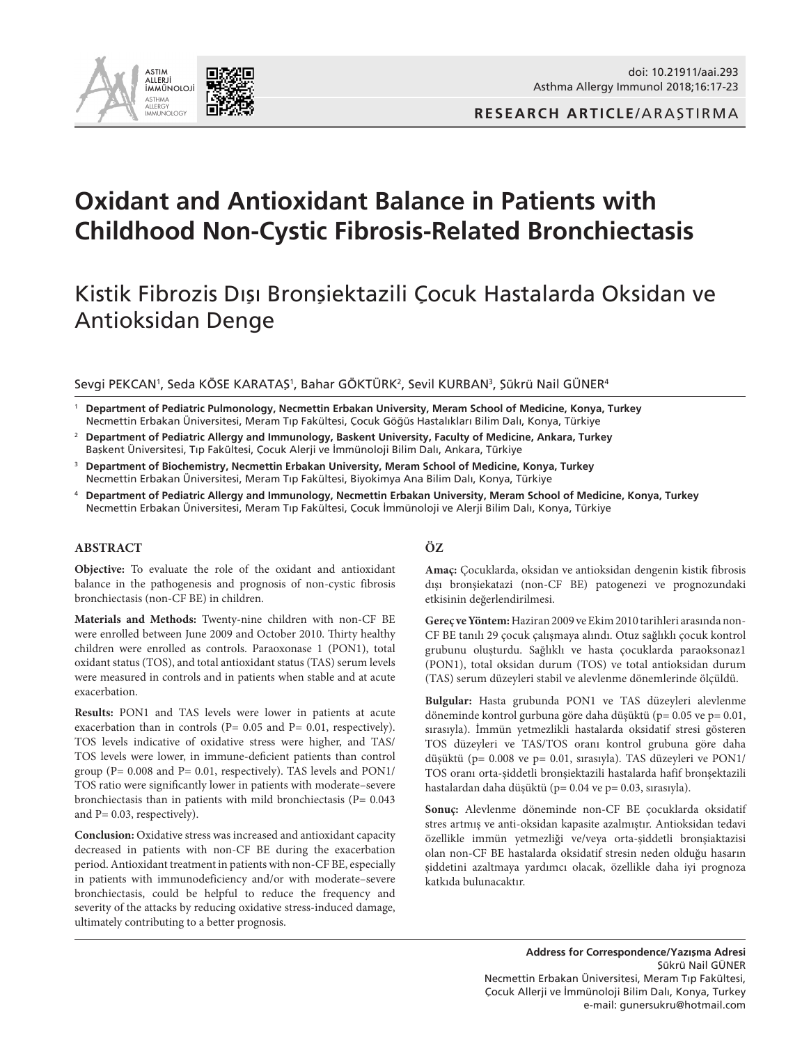

**RESEARCH ARTICLE**/ARAŞTIRMA

# **Oxidant and Antioxidant Balance in Patients with Childhood Non-Cystic Fibrosis-Related Bronchiectasis**

# Kistik Fibrozis Dışı Bronşiektazili Çocuk Hastalarda Oksidan ve Antioksidan Denge

#### Sevgi PEKCAN', Seda KÖSE KARATAŞ', Bahar GÖKTÜRK<sup>2</sup>, Sevil KURBAN<sup>3</sup>, Sükrü Nail GÜNER<sup>4</sup>

<sup>1</sup> **Department of Pediatric Pulmonology, Necmettin Erbakan University, Meram School of Medicine, Konya, Turkey**  Necmettin Erbakan Üniversitesi, Meram Tıp Fakültesi, Çocuk Göğüs Hastalıkları Bilim Dalı, Konya, Türkiye

- <sup>2</sup> **Department of Pediatric Allergy and Immunology, Baskent University, Faculty of Medicine, Ankara, Turkey** Başkent Üniversitesi, Tıp Fakültesi, Çocuk Alerji ve İmmünoloji Bilim Dalı, Ankara, Türkiye
- <sup>3</sup> **Department of Biochemistry, Necmettin Erbakan University, Meram School of Medicine, Konya, Turkey**  Necmettin Erbakan Üniversitesi, Meram Tıp Fakültesi, Biyokimya Ana Bilim Dalı, Konya, Türkiye
- <sup>4</sup> **Department of Pediatric Allergy and Immunology, Necmettin Erbakan University, Meram School of Medicine, Konya, Turkey** Necmettin Erbakan Üniversitesi, Meram Tıp Fakültesi, Çocuk İmmünoloji ve Alerji Bilim Dalı, Konya, Türkiye

#### **ABSTRACT**

**Objective:** To evaluate the role of the oxidant and antioxidant balance in the pathogenesis and prognosis of non-cystic fibrosis bronchiectasis (non-CF BE) in children.

**Materials and Methods:** Twenty-nine children with non-CF BE were enrolled between June 2009 and October 2010. Thirty healthy children were enrolled as controls. Paraoxonase 1 (PON1), total oxidant status (TOS), and total antioxidant status (TAS) serum levels were measured in controls and in patients when stable and at acute exacerbation.

**Results:** PON1 and TAS levels were lower in patients at acute exacerbation than in controls (P= 0.05 and P= 0.01, respectively). TOS levels indicative of oxidative stress were higher, and TAS/ TOS levels were lower, in immune-deficient patients than control group (P= 0.008 and P= 0.01, respectively). TAS levels and PON1/ TOS ratio were significantly lower in patients with moderate–severe bronchiectasis than in patients with mild bronchiectasis (P= 0.043 and P= 0.03, respectively).

**Conclusion:** Oxidative stress was increased and antioxidant capacity decreased in patients with non-CF BE during the exacerbation period. Antioxidant treatment in patients with non-CF BE, especially in patients with immunodeficiency and/or with moderate–severe bronchiectasis, could be helpful to reduce the frequency and severity of the attacks by reducing oxidative stress-induced damage, ultimately contributing to a better prognosis.

#### **ÖZ**

**Amaç:** Çocuklarda, oksidan ve antioksidan dengenin kistik fibrosis dışı bronşiekatazi (non-CF BE) patogenezi ve prognozundaki etkisinin değerlendirilmesi.

**Gereç ve Yöntem:** Haziran 2009 ve Ekim 2010 tarihleri arasında non-CF BE tanılı 29 çocuk çalışmaya alındı. Otuz sağlıklı çocuk kontrol grubunu oluşturdu. Sağlıklı ve hasta çocuklarda paraoksonaz1 (PON1), total oksidan durum (TOS) ve total antioksidan durum (TAS) serum düzeyleri stabil ve alevlenme dönemlerinde ölçüldü.

**Bulgular:** Hasta grubunda PON1 ve TAS düzeyleri alevlenme döneminde kontrol gurbuna göre daha düşüktü (p= 0.05 ve p= 0.01, sırasıyla). İmmün yetmezlikli hastalarda oksidatif stresi gösteren TOS düzeyleri ve TAS/TOS oranı kontrol grubuna göre daha düşüktü (p= 0.008 ve p= 0.01, sırasıyla). TAS düzeyleri ve PON1/ TOS oranı orta-şiddetli bronşiektazili hastalarda hafif bronşektazili hastalardan daha düşüktü (p= 0.04 ve p= 0.03, sırasıyla).

**Sonuç:** Alevlenme döneminde non-CF BE çocuklarda oksidatif stres artmış ve anti-oksidan kapasite azalmıştır. Antioksidan tedavi özellikle immün yetmezliği ve/veya orta-şiddetli bronşiaktazisi olan non-CF BE hastalarda oksidatif stresin neden olduğu hasarın şiddetini azaltmaya yardımcı olacak, özellikle daha iyi prognoza katkıda bulunacaktır.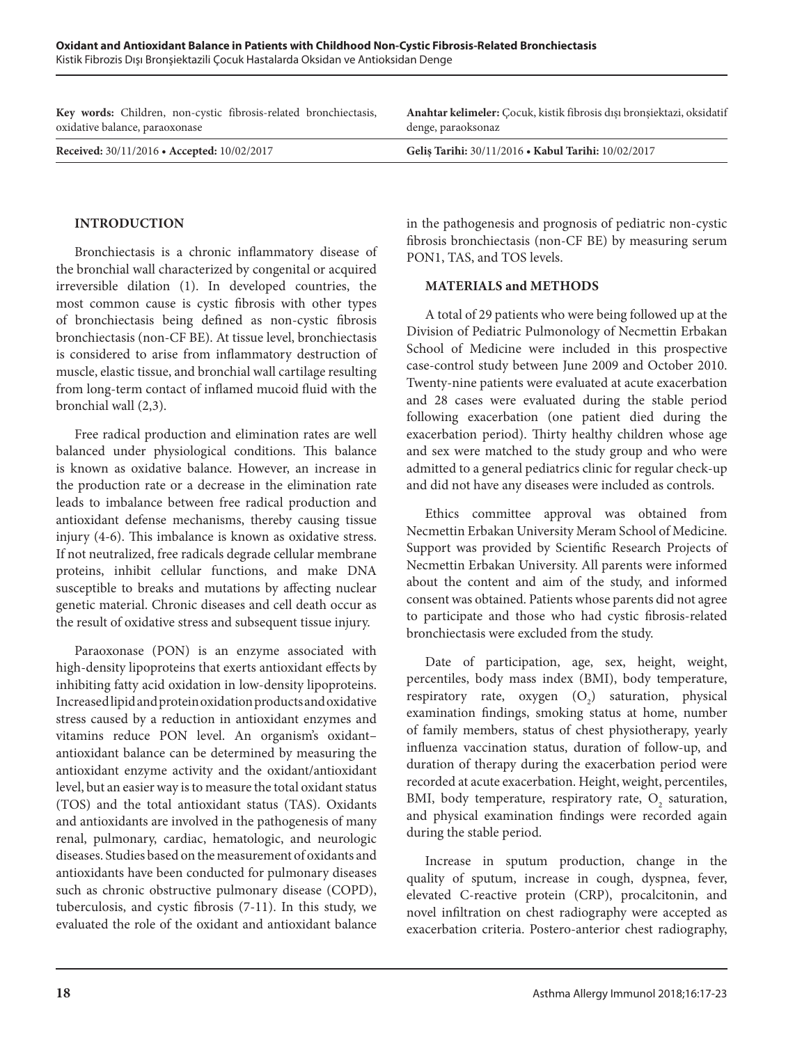| Key words: Children, non-cystic fibrosis-related bronchiectasis, | Anahtar kelimeler: Cocuk, kistik fibrosis dışı bronşiektazi, oksidatif |  |  |
|------------------------------------------------------------------|------------------------------------------------------------------------|--|--|
| oxidative balance, paraoxonase                                   | denge, paraoksonaz                                                     |  |  |
| Received: 30/11/2016 • Accepted: 10/02/2017                      | Geliş Tarihi: 30/11/2016 • Kabul Tarihi: 10/02/2017                    |  |  |

## **INTRODUCTION**

Bronchiectasis is a chronic inflammatory disease of the bronchial wall characterized by congenital or acquired irreversible dilation (1). In developed countries, the most common cause is cystic fibrosis with other types of bronchiectasis being defined as non-cystic fibrosis bronchiectasis (non-CF BE). At tissue level, bronchiectasis is considered to arise from inflammatory destruction of muscle, elastic tissue, and bronchial wall cartilage resulting from long-term contact of inflamed mucoid fluid with the bronchial wall (2,3).

Free radical production and elimination rates are well balanced under physiological conditions. This balance is known as oxidative balance. However, an increase in the production rate or a decrease in the elimination rate leads to imbalance between free radical production and antioxidant defense mechanisms, thereby causing tissue injury (4-6). This imbalance is known as oxidative stress. If not neutralized, free radicals degrade cellular membrane proteins, inhibit cellular functions, and make DNA susceptible to breaks and mutations by affecting nuclear genetic material. Chronic diseases and cell death occur as the result of oxidative stress and subsequent tissue injury.

Paraoxonase (PON) is an enzyme associated with high-density lipoproteins that exerts antioxidant effects by inhibiting fatty acid oxidation in low-density lipoproteins. Increased lipid and protein oxidation products and oxidative stress caused by a reduction in antioxidant enzymes and vitamins reduce PON level. An organism's oxidant– antioxidant balance can be determined by measuring the antioxidant enzyme activity and the oxidant/antioxidant level, but an easier way is to measure the total oxidant status (TOS) and the total antioxidant status (TAS). Oxidants and antioxidants are involved in the pathogenesis of many renal, pulmonary, cardiac, hematologic, and neurologic diseases. Studies based on the measurement of oxidants and antioxidants have been conducted for pulmonary diseases such as chronic obstructive pulmonary disease (COPD), tuberculosis, and cystic fibrosis (7-11). In this study, we evaluated the role of the oxidant and antioxidant balance

in the pathogenesis and prognosis of pediatric non-cystic fibrosis bronchiectasis (non-CF BE) by measuring serum PON1, TAS, and TOS levels.

#### **MATERIALS and METHODS**

A total of 29 patients who were being followed up at the Division of Pediatric Pulmonology of Necmettin Erbakan School of Medicine were included in this prospective case-control study between June 2009 and October 2010. Twenty-nine patients were evaluated at acute exacerbation and 28 cases were evaluated during the stable period following exacerbation (one patient died during the exacerbation period). Thirty healthy children whose age and sex were matched to the study group and who were admitted to a general pediatrics clinic for regular check-up and did not have any diseases were included as controls.

Ethics committee approval was obtained from Necmettin Erbakan University Meram School of Medicine. Support was provided by Scientific Research Projects of Necmettin Erbakan University. All parents were informed about the content and aim of the study, and informed consent was obtained. Patients whose parents did not agree to participate and those who had cystic fibrosis-related bronchiectasis were excluded from the study.

Date of participation, age, sex, height, weight, percentiles, body mass index (BMI), body temperature, respiratory rate, oxygen  $(O_2)$  saturation, physical examination findings, smoking status at home, number of family members, status of chest physiotherapy, yearly influenza vaccination status, duration of follow-up, and duration of therapy during the exacerbation period were recorded at acute exacerbation. Height, weight, percentiles, BMI, body temperature, respiratory rate,  $O_2$  saturation, and physical examination findings were recorded again during the stable period.

Increase in sputum production, change in the quality of sputum, increase in cough, dyspnea, fever, elevated C-reactive protein (CRP), procalcitonin, and novel infiltration on chest radiography were accepted as exacerbation criteria. Postero-anterior chest radiography,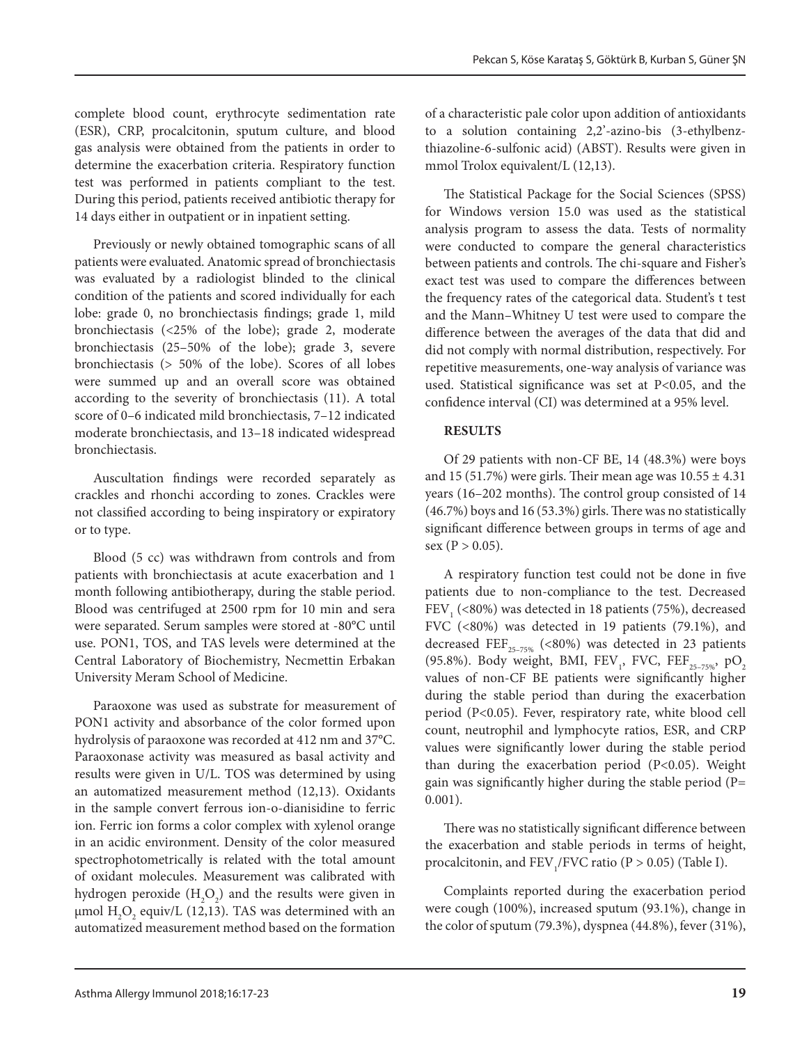complete blood count, erythrocyte sedimentation rate (ESR), CRP, procalcitonin, sputum culture, and blood gas analysis were obtained from the patients in order to determine the exacerbation criteria. Respiratory function test was performed in patients compliant to the test. During this period, patients received antibiotic therapy for 14 days either in outpatient or in inpatient setting.

Previously or newly obtained tomographic scans of all patients were evaluated. Anatomic spread of bronchiectasis was evaluated by a radiologist blinded to the clinical condition of the patients and scored individually for each lobe: grade 0, no bronchiectasis findings; grade 1, mild bronchiectasis (<25% of the lobe); grade 2, moderate bronchiectasis (25–50% of the lobe); grade 3, severe bronchiectasis (> 50% of the lobe). Scores of all lobes were summed up and an overall score was obtained according to the severity of bronchiectasis (11). A total score of 0–6 indicated mild bronchiectasis, 7–12 indicated moderate bronchiectasis, and 13–18 indicated widespread bronchiectasis.

Auscultation findings were recorded separately as crackles and rhonchi according to zones. Crackles were not classified according to being inspiratory or expiratory or to type.

Blood (5 cc) was withdrawn from controls and from patients with bronchiectasis at acute exacerbation and 1 month following antibiotherapy, during the stable period. Blood was centrifuged at 2500 rpm for 10 min and sera were separated. Serum samples were stored at -80°C until use. PON1, TOS, and TAS levels were determined at the Central Laboratory of Biochemistry, Necmettin Erbakan University Meram School of Medicine.

Paraoxone was used as substrate for measurement of PON1 activity and absorbance of the color formed upon hydrolysis of paraoxone was recorded at 412 nm and 37°C. Paraoxonase activity was measured as basal activity and results were given in U/L. TOS was determined by using an automatized measurement method (12,13). Oxidants in the sample convert ferrous ion-o-dianisidine to ferric ion. Ferric ion forms a color complex with xylenol orange in an acidic environment. Density of the color measured spectrophotometrically is related with the total amount of oxidant molecules. Measurement was calibrated with hydrogen peroxide  $(H_2O_2)$  and the results were given in  $\mu$ mol  $\mathrm{H}_{2}\mathrm{O}_{2}$  equiv/L (12,13). TAS was determined with an automatized measurement method based on the formation

of a characteristic pale color upon addition of antioxidants to a solution containing 2,2'-azino-bis (3-ethylbenzthiazoline-6-sulfonic acid) (ABST). Results were given in mmol Trolox equivalent/L (12,13).

The Statistical Package for the Social Sciences (SPSS) for Windows version 15.0 was used as the statistical analysis program to assess the data. Tests of normality were conducted to compare the general characteristics between patients and controls. The chi-square and Fisher's exact test was used to compare the differences between the frequency rates of the categorical data. Student's t test and the Mann–Whitney U test were used to compare the difference between the averages of the data that did and did not comply with normal distribution, respectively. For repetitive measurements, one-way analysis of variance was used. Statistical significance was set at P<0.05, and the confidence interval (CI) was determined at a 95% level.

### **RESULTS**

Of 29 patients with non-CF BE, 14 (48.3%) were boys and 15 (51.7%) were girls. Their mean age was  $10.55 \pm 4.31$ years (16–202 months). The control group consisted of 14 (46.7%) boys and 16 (53.3%) girls. There was no statistically significant difference between groups in terms of age and sex ( $P > 0.05$ ).

A respiratory function test could not be done in five patients due to non-compliance to the test. Decreased  $\mathrm{FEV}_1$  (<80%) was detected in 18 patients (75%), decreased FVC (<80%) was detected in 19 patients (79.1%), and decreased FEF<sub>25-75%</sub> (<80%) was detected in 23 patients (95.8%). Body weight, BMI,  $\text{FEV}_1$ , FVC,  $\text{FEF}_{25-75\%}$ ,  $\text{pO}_2$ values of non-CF BE patients were significantly higher during the stable period than during the exacerbation period (P<0.05). Fever, respiratory rate, white blood cell count, neutrophil and lymphocyte ratios, ESR, and CRP values were significantly lower during the stable period than during the exacerbation period (P<0.05). Weight gain was significantly higher during the stable period (P= 0.001).

There was no statistically significant difference between the exacerbation and stable periods in terms of height, procalcitonin, and  $\text{FEV}_1/\text{FVC}$  ratio (P > 0.05) (Table I).

Complaints reported during the exacerbation period were cough (100%), increased sputum (93.1%), change in the color of sputum (79.3%), dyspnea (44.8%), fever (31%),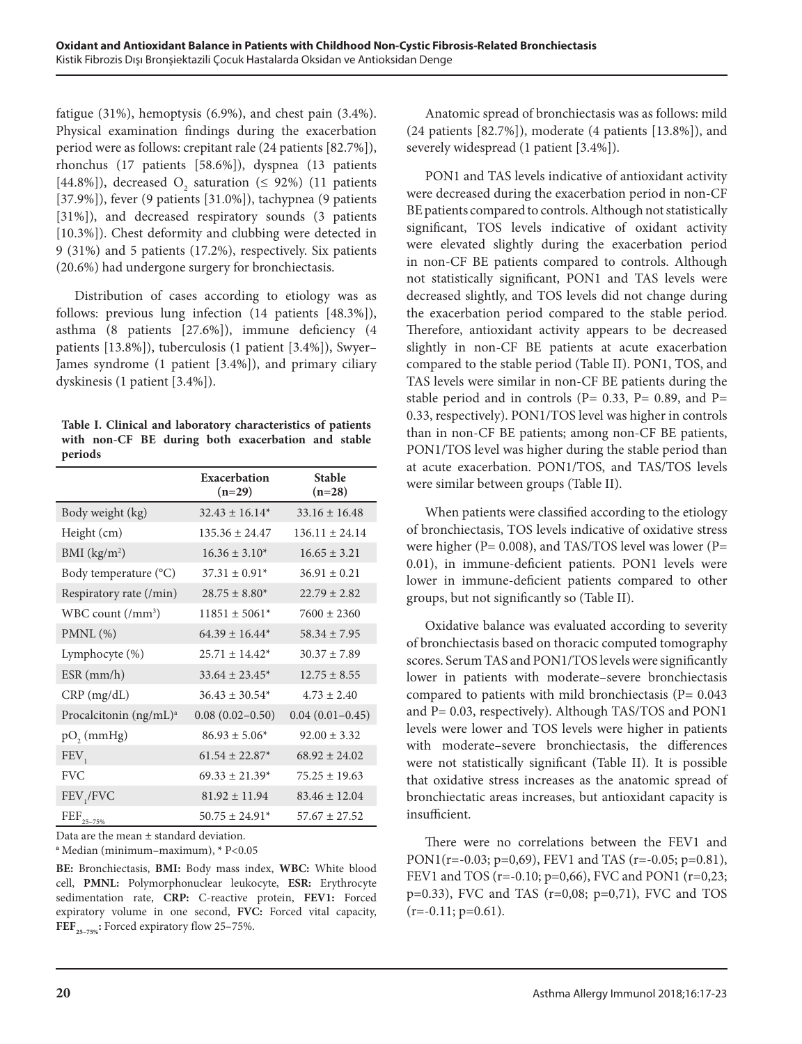fatigue (31%), hemoptysis (6.9%), and chest pain (3.4%). Physical examination findings during the exacerbation period were as follows: crepitant rale (24 patients [82.7%]), rhonchus (17 patients [58.6%]), dyspnea (13 patients [44.8%]), decreased  $O_2$  saturation ( $\leq 92\%$ ) (11 patients [37.9%]), fever (9 patients [31.0%]), tachypnea (9 patients [31%]), and decreased respiratory sounds (3 patients [10.3%]). Chest deformity and clubbing were detected in 9 (31%) and 5 patients (17.2%), respectively. Six patients (20.6%) had undergone surgery for bronchiectasis.

Distribution of cases according to etiology was as follows: previous lung infection (14 patients [48.3%]), asthma (8 patients [27.6%]), immune deficiency (4 patients [13.8%]), tuberculosis (1 patient [3.4%]), Swyer– James syndrome (1 patient [3.4%]), and primary ciliary dyskinesis (1 patient [3.4%]).

|         |  |  | Table I. Clinical and laboratory characteristics of patients |  |
|---------|--|--|--------------------------------------------------------------|--|
|         |  |  | with non-CF BE during both exacerbation and stable           |  |
| periods |  |  |                                                              |  |

|                                    | Exacerbation<br>$(n=29)$ | <b>Stable</b><br>$(n=28)$ |
|------------------------------------|--------------------------|---------------------------|
| Body weight (kg)                   | $32.43 \pm 16.14*$       | $33.16 \pm 16.48$         |
| Height (cm)                        | $135.36 \pm 24.47$       | $136.11 + 24.14$          |
| BMI $(kg/m2)$                      | $16.36 \pm 3.10^*$       | $16.65 \pm 3.21$          |
| Body temperature (°C)              | $37.31 \pm 0.91*$        | $36.91 \pm 0.21$          |
| Respiratory rate (/min)            | $28.75 \pm 8.80^*$       | $22.79 \pm 2.82$          |
| WBC count $(\text{/mm}^3)$         | $11851 \pm 5061*$        | $7600 \pm 2360$           |
| $PMNL$ $(\% )$                     | $64.39 \pm 16.44*$       | $58.34 \pm 7.95$          |
| Lymphocyte (%)                     | $25.71 \pm 14.42^*$      | $30.37 \pm 7.89$          |
| $ESR$ (mm/h)                       | $33.64 \pm 23.45^*$      | $12.75 \pm 8.55$          |
| $CRP$ (mg/dL)                      | $36.43 \pm 30.54*$       | $4.73 \pm 2.40$           |
| Procalcitonin (ng/mL) <sup>a</sup> | $0.08(0.02 - 0.50)$      | $0.04(0.01 - 0.45)$       |
| $pO$ <sub>2</sub> (mmHg)           | $86.93 \pm 5.06*$        | $92.00 \pm 3.32$          |
| FEV,                               | $61.54 \pm 22.87*$       | $68.92 \pm 24.02$         |
| <b>FVC</b>                         | $69.33 \pm 21.39*$       | $75.25 \pm 19.63$         |
| FEV,/FVC                           | $81.92 \pm 11.94$        | $83.46 \pm 12.04$         |
| $\rm{FEF}_{25-75\%}$               | $50.75 \pm 24.91*$       | $57.67 \pm 27.52$         |

Data are the mean ± standard deviation.

**<sup>a</sup>** Median (minimum–maximum), **\*** P<0.05

**BE:** Bronchiectasis, **BMI:** Body mass index, **WBC:** White blood cell, **PMNL:** Polymorphonuclear leukocyte, **ESR:** Erythrocyte sedimentation rate, **CRP:** C-reactive protein, **FEV1:** Forced expiratory volume in one second, **FVC:** Forced vital capacity, **FEF**<sub>25-75%</sub>: Forced expiratory flow 25-75%.

Anatomic spread of bronchiectasis was as follows: mild (24 patients [82.7%]), moderate (4 patients [13.8%]), and severely widespread (1 patient [3.4%]).

PON1 and TAS levels indicative of antioxidant activity were decreased during the exacerbation period in non-CF BE patients compared to controls. Although not statistically significant, TOS levels indicative of oxidant activity were elevated slightly during the exacerbation period in non-CF BE patients compared to controls. Although not statistically significant, PON1 and TAS levels were decreased slightly, and TOS levels did not change during the exacerbation period compared to the stable period. Therefore, antioxidant activity appears to be decreased slightly in non-CF BE patients at acute exacerbation compared to the stable period (Table II). PON1, TOS, and TAS levels were similar in non-CF BE patients during the stable period and in controls ( $P = 0.33$ ,  $P = 0.89$ , and  $P =$ 0.33, respectively). PON1/TOS level was higher in controls than in non-CF BE patients; among non-CF BE patients, PON1/TOS level was higher during the stable period than at acute exacerbation. PON1/TOS, and TAS/TOS levels were similar between groups (Table II).

When patients were classified according to the etiology of bronchiectasis, TOS levels indicative of oxidative stress were higher (P= 0.008), and TAS/TOS level was lower (P= 0.01), in immune-deficient patients. PON1 levels were lower in immune-deficient patients compared to other groups, but not significantly so (Table II).

Oxidative balance was evaluated according to severity of bronchiectasis based on thoracic computed tomography scores. Serum TAS and PON1/TOS levels were significantly lower in patients with moderate–severe bronchiectasis compared to patients with mild bronchiectasis ( $P= 0.043$ ) and P= 0.03, respectively). Although TAS/TOS and PON1 levels were lower and TOS levels were higher in patients with moderate–severe bronchiectasis, the differences were not statistically significant (Table II). It is possible that oxidative stress increases as the anatomic spread of bronchiectatic areas increases, but antioxidant capacity is insufficient.

There were no correlations between the FEV1 and PON1(r=-0.03; p=0,69), FEV1 and TAS (r=-0.05; p=0.81), FEV1 and TOS (r=-0.10; p=0,66), FVC and PON1 (r=0,23; p=0.33), FVC and TAS (r=0,08; p=0,71), FVC and TOS  $(r=-0.11; p=0.61)$ .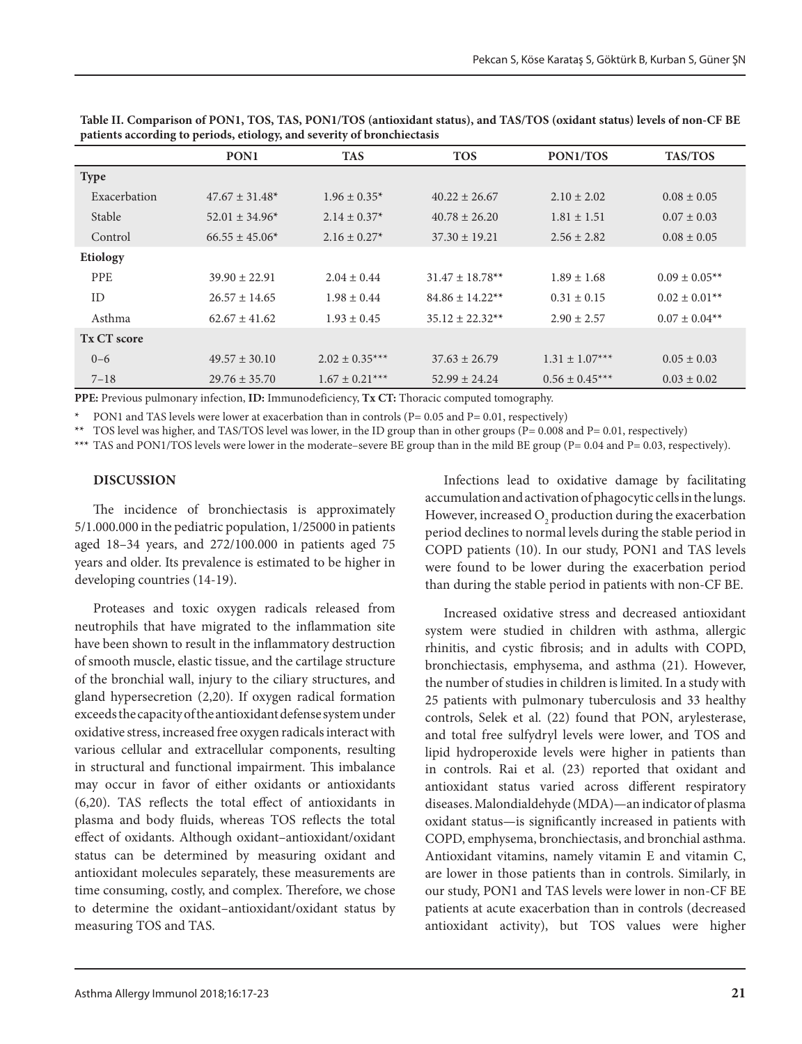|                 | PON <sub>1</sub>    | <b>TAS</b>         | <b>TOS</b>                      | PON1/TOS           | <b>TAS/TOS</b>     |
|-----------------|---------------------|--------------------|---------------------------------|--------------------|--------------------|
| <b>Type</b>     |                     |                    |                                 |                    |                    |
| Exacerbation    | $47.67 \pm 31.48^*$ | $1.96 \pm 0.35^*$  | $40.22 \pm 26.67$               | $2.10 \pm 2.02$    | $0.08 \pm 0.05$    |
| Stable          | $52.01 \pm 34.96*$  | $2.14 \pm 0.37*$   | $40.78 \pm 26.20$               | $1.81 \pm 1.51$    | $0.07 \pm 0.03$    |
| Control         | $66.55 \pm 45.06*$  | $2.16 \pm 0.27*$   | $37.30 \pm 19.21$               | $2.56 \pm 2.82$    | $0.08 \pm 0.05$    |
| <b>Etiology</b> |                     |                    |                                 |                    |                    |
| <b>PPE</b>      | $39.90 \pm 22.91$   | $2.04 \pm 0.44$    | $31.47 \pm 18.78$ <sup>**</sup> | $1.89 \pm 1.68$    | $0.09 \pm 0.05$ ** |
| ID              | $26.57 \pm 14.65$   | $1.98 \pm 0.44$    | $84.86 \pm 14.22**$             | $0.31 \pm 0.15$    | $0.02 \pm 0.01**$  |
| Asthma          | $62.67 \pm 41.62$   | $1.93 \pm 0.45$    | $35.12 \pm 22.32**$             | $2.90 \pm 2.57$    | $0.07 \pm 0.04**$  |
| Tx CT score     |                     |                    |                                 |                    |                    |
| $0 - 6$         | $49.57 \pm 30.10$   | $2.02 \pm 0.35***$ | $37.63 \pm 26.79$               | $1.31 \pm 1.07***$ | $0.05 \pm 0.03$    |
| $7 - 18$        | $29.76 \pm 35.70$   | $1.67 \pm 0.21***$ | $52.99 \pm 24.24$               | $0.56 \pm 0.45***$ | $0.03 \pm 0.02$    |

**Table II. Comparison of PON1, TOS, TAS, PON1/TOS (antioxidant status), and TAS/TOS (oxidant status) levels of non-CF BE patients according to periods, etiology, and severity of bronchiectasis**

**PPE:** Previous pulmonary infection, **ID:** Immunodeficiency, **Tx CT:** Thoracic computed tomography.

**\*** PON1 and TAS levels were lower at exacerbation than in controls (P= 0.05 and P= 0.01, respectively)

**\*\*** TOS level was higher, and TAS/TOS level was lower, in the ID group than in other groups (P= 0.008 and P= 0.01, respectively)

\*\*\* TAS and PON1/TOS levels were lower in the moderate–severe BE group than in the mild BE group (P= 0.04 and P= 0.03, respectively).

#### **DISCUSSION**

The incidence of bronchiectasis is approximately 5/1.000.000 in the pediatric population, 1/25000 in patients aged 18–34 years, and 272/100.000 in patients aged 75 years and older. Its prevalence is estimated to be higher in developing countries (14-19).

Proteases and toxic oxygen radicals released from neutrophils that have migrated to the inflammation site have been shown to result in the inflammatory destruction of smooth muscle, elastic tissue, and the cartilage structure of the bronchial wall, injury to the ciliary structures, and gland hypersecretion (2,20). If oxygen radical formation exceeds the capacity of the antioxidant defense system under oxidative stress, increased free oxygen radicals interact with various cellular and extracellular components, resulting in structural and functional impairment. This imbalance may occur in favor of either oxidants or antioxidants (6,20). TAS reflects the total effect of antioxidants in plasma and body fluids, whereas TOS reflects the total effect of oxidants. Although oxidant–antioxidant/oxidant status can be determined by measuring oxidant and antioxidant molecules separately, these measurements are time consuming, costly, and complex. Therefore, we chose to determine the oxidant–antioxidant/oxidant status by measuring TOS and TAS.

Infections lead to oxidative damage by facilitating accumulation and activation of phagocytic cells in the lungs. However, increased  $\mathrm{O}_2$  production during the exacerbation period declines to normal levels during the stable period in COPD patients (10). In our study, PON1 and TAS levels were found to be lower during the exacerbation period than during the stable period in patients with non-CF BE.

Increased oxidative stress and decreased antioxidant system were studied in children with asthma, allergic rhinitis, and cystic fibrosis; and in adults with COPD, bronchiectasis, emphysema, and asthma (21). However, the number of studies in children is limited. In a study with 25 patients with pulmonary tuberculosis and 33 healthy controls, Selek et al. (22) found that PON, arylesterase, and total free sulfydryl levels were lower, and TOS and lipid hydroperoxide levels were higher in patients than in controls. Rai et al. (23) reported that oxidant and antioxidant status varied across different respiratory diseases. Malondialdehyde (MDA)—an indicator of plasma oxidant status—is significantly increased in patients with COPD, emphysema, bronchiectasis, and bronchial asthma. Antioxidant vitamins, namely vitamin E and vitamin C, are lower in those patients than in controls. Similarly, in our study, PON1 and TAS levels were lower in non-CF BE patients at acute exacerbation than in controls (decreased antioxidant activity), but TOS values were higher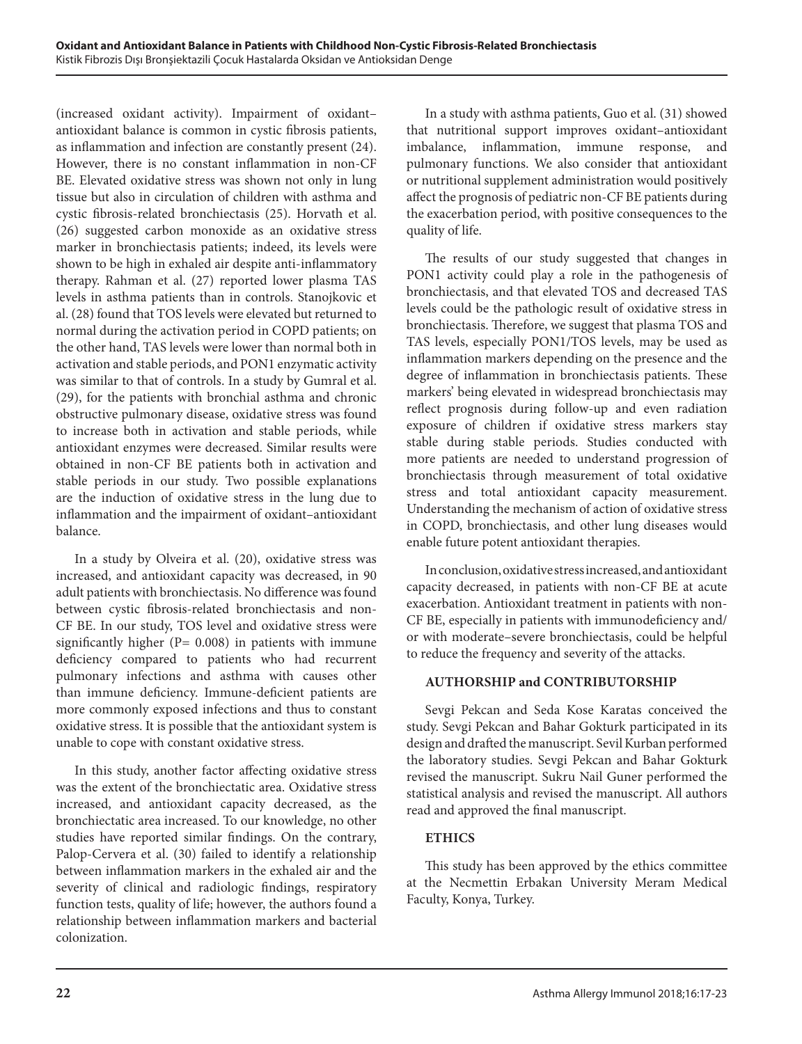(increased oxidant activity). Impairment of oxidant– antioxidant balance is common in cystic fibrosis patients, as inflammation and infection are constantly present (24). However, there is no constant inflammation in non-CF BE. Elevated oxidative stress was shown not only in lung tissue but also in circulation of children with asthma and cystic fibrosis-related bronchiectasis (25). Horvath et al. (26) suggested carbon monoxide as an oxidative stress marker in bronchiectasis patients; indeed, its levels were shown to be high in exhaled air despite anti-inflammatory therapy. Rahman et al. (27) reported lower plasma TAS levels in asthma patients than in controls. Stanojkovic et al. (28) found that TOS levels were elevated but returned to normal during the activation period in COPD patients; on the other hand, TAS levels were lower than normal both in activation and stable periods, and PON1 enzymatic activity was similar to that of controls. In a study by Gumral et al. (29), for the patients with bronchial asthma and chronic obstructive pulmonary disease, oxidative stress was found to increase both in activation and stable periods, while antioxidant enzymes were decreased. Similar results were obtained in non-CF BE patients both in activation and stable periods in our study. Two possible explanations are the induction of oxidative stress in the lung due to inflammation and the impairment of oxidant–antioxidant balance.

In a study by Olveira et al. (20), oxidative stress was increased, and antioxidant capacity was decreased, in 90 adult patients with bronchiectasis. No difference was found between cystic fibrosis-related bronchiectasis and non-CF BE. In our study, TOS level and oxidative stress were significantly higher  $(P= 0.008)$  in patients with immune deficiency compared to patients who had recurrent pulmonary infections and asthma with causes other than immune deficiency. Immune-deficient patients are more commonly exposed infections and thus to constant oxidative stress. It is possible that the antioxidant system is unable to cope with constant oxidative stress.

In this study, another factor affecting oxidative stress was the extent of the bronchiectatic area. Oxidative stress increased, and antioxidant capacity decreased, as the bronchiectatic area increased. To our knowledge, no other studies have reported similar findings. On the contrary, Palop-Cervera et al. (30) failed to identify a relationship between inflammation markers in the exhaled air and the severity of clinical and radiologic findings, respiratory function tests, quality of life; however, the authors found a relationship between inflammation markers and bacterial colonization.

In a study with asthma patients, Guo et al. (31) showed that nutritional support improves oxidant–antioxidant imbalance, inflammation, immune response, and pulmonary functions. We also consider that antioxidant or nutritional supplement administration would positively affect the prognosis of pediatric non-CF BE patients during the exacerbation period, with positive consequences to the quality of life.

The results of our study suggested that changes in PON1 activity could play a role in the pathogenesis of bronchiectasis, and that elevated TOS and decreased TAS levels could be the pathologic result of oxidative stress in bronchiectasis. Therefore, we suggest that plasma TOS and TAS levels, especially PON1/TOS levels, may be used as inflammation markers depending on the presence and the degree of inflammation in bronchiectasis patients. These markers' being elevated in widespread bronchiectasis may reflect prognosis during follow-up and even radiation exposure of children if oxidative stress markers stay stable during stable periods. Studies conducted with more patients are needed to understand progression of bronchiectasis through measurement of total oxidative stress and total antioxidant capacity measurement. Understanding the mechanism of action of oxidative stress in COPD, bronchiectasis, and other lung diseases would enable future potent antioxidant therapies.

In conclusion, oxidative stress increased, and antioxidant capacity decreased, in patients with non-CF BE at acute exacerbation. Antioxidant treatment in patients with non-CF BE, especially in patients with immunodeficiency and/ or with moderate–severe bronchiectasis, could be helpful to reduce the frequency and severity of the attacks.

# **AUTHORSHIP and CONTRIBUTORSHIP**

Sevgi Pekcan and Seda Kose Karatas conceived the study. Sevgi Pekcan and Bahar Gokturk participated in its design and drafted the manuscript. Sevil Kurban performed the laboratory studies. Sevgi Pekcan and Bahar Gokturk revised the manuscript. Sukru Nail Guner performed the statistical analysis and revised the manuscript. All authors read and approved the final manuscript.

# **ETHICS**

This study has been approved by the ethics committee at the Necmettin Erbakan University Meram Medical Faculty, Konya, Turkey.